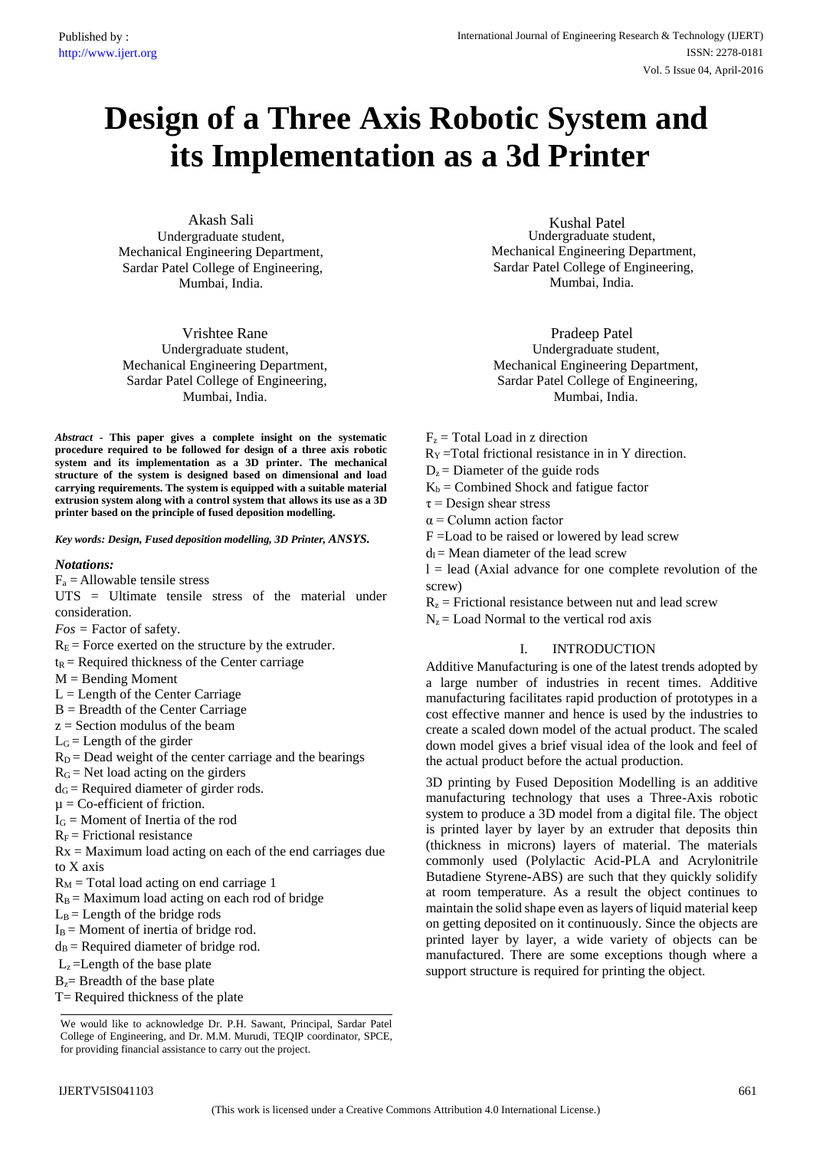# **Design of a Three Axis Robotic System and its Implementation as a 3d Printer**

Akash Sali Undergraduate student, Mechanical Engineering Department, Sardar Patel College of Engineering, Mumbai, India.

Vrishtee Rane Undergraduate student, Mechanical Engineering Department, Sardar Patel College of Engineering, Mumbai, India.

*Abstract* **- This paper gives a complete insight on the systematic procedure required to be followed for design of a three axis robotic system and its implementation as a 3D printer. The mechanical structure of the system is designed based on dimensional and load carrying requirements. The system is equipped with a suitable material extrusion system along with a control system that allows its use as a 3D printer based on the principle of fused deposition modelling.**

*Key words: Design, Fused deposition modelling, 3D Printer, ANSYS.* 

#### *Notations:*

 $F_a =$  Allowable tensile stress

UTS = Ultimate tensile stress of the material under consideration.

*Fos =* Factor of safety.

- $R<sub>E</sub>$  = Force exerted on the structure by the extruder.
- $t_R$  = Required thickness of the Center carriage
- $M =$  Bending Moment
- $L =$  Length of the Center Carriage
- B = Breadth of the Center Carriage
- $z =$  Section modulus of the beam
- $L<sub>G</sub>$  = Length of the girder
- $R_D$  = Dead weight of the center carriage and the bearings
- $R<sub>G</sub>$  = Net load acting on the girders
- $d<sub>G</sub>$  = Required diameter of girder rods.
- $\mu$  = Co-efficient of friction.
- $I_G$  = Moment of Inertia of the rod
- $R_F$  = Frictional resistance
- $Rx = Maximum$  load acting on each of the end carriages due to X axis
- $R_M$  = Total load acting on end carriage 1
- $R_B$  = Maximum load acting on each rod of bridge
- $L_B$  = Length of the bridge rods
- $I_B$  = Moment of inertia of bridge rod.
- $d_B$  = Required diameter of bridge rod.
- $L_z$  = Length of the base plate
- $B<sub>z</sub>$  Breadth of the base plate
- $T=$  Required thickness of the plate

We would like to acknowledge Dr. P.H. Sawant, Principal, Sardar Patel College of Engineering, and Dr. M.M. Murudi, TEQIP coordinator, SPCE, for providing financial assistance to carry out the project.

Kushal Patel Undergraduate student, Mechanical Engineering Department, Sardar Patel College of Engineering, Mumbai, India.

Pradeep Patel Undergraduate student, Mechanical Engineering Department, Sardar Patel College of Engineering, Mumbai, India.

- $F<sub>z</sub>$  = Total Load in z direction
- $R_Y = Total frictional resistance in in Y direction.$
- $D<sub>z</sub>$  = Diameter of the guide rods
- $K_b$  = Combined Shock and fatigue factor
- $\tau$  = Design shear stress
- $\alpha$  = Column action factor
- F =Load to be raised or lowered by lead screw
- $d_l$  = Mean diameter of the lead screw

 $l =$  lead (Axial advance for one complete revolution of the screw)

- $R_z$  = Frictional resistance between nut and lead screw
- $N_z$  = Load Normal to the vertical rod axis

# I. INTRODUCTION

Additive Manufacturing is one of the latest trends adopted by a large number of industries in recent times. Additive manufacturing facilitates rapid production of prototypes in a cost effective manner and hence is used by the industries to create a scaled down model of the actual product. The scaled down model gives a brief visual idea of the look and feel of the actual product before the actual production.

3D printing by Fused Deposition Modelling is an additive manufacturing technology that uses a Three-Axis robotic system to produce a 3D model from a digital file. The object is printed layer by layer by an extruder that deposits thin (thickness in microns) layers of material. The materials commonly used (Polylactic Acid-PLA and Acrylonitrile Butadiene Styrene**-**ABS) are such that they quickly solidify at room temperature. As a result the object continues to maintain the solid shape even as layers of liquid material keep on getting deposited on it continuously. Since the objects are printed layer by layer, a wide variety of objects can be manufactured. There are some exceptions though where a support structure is required for printing the object.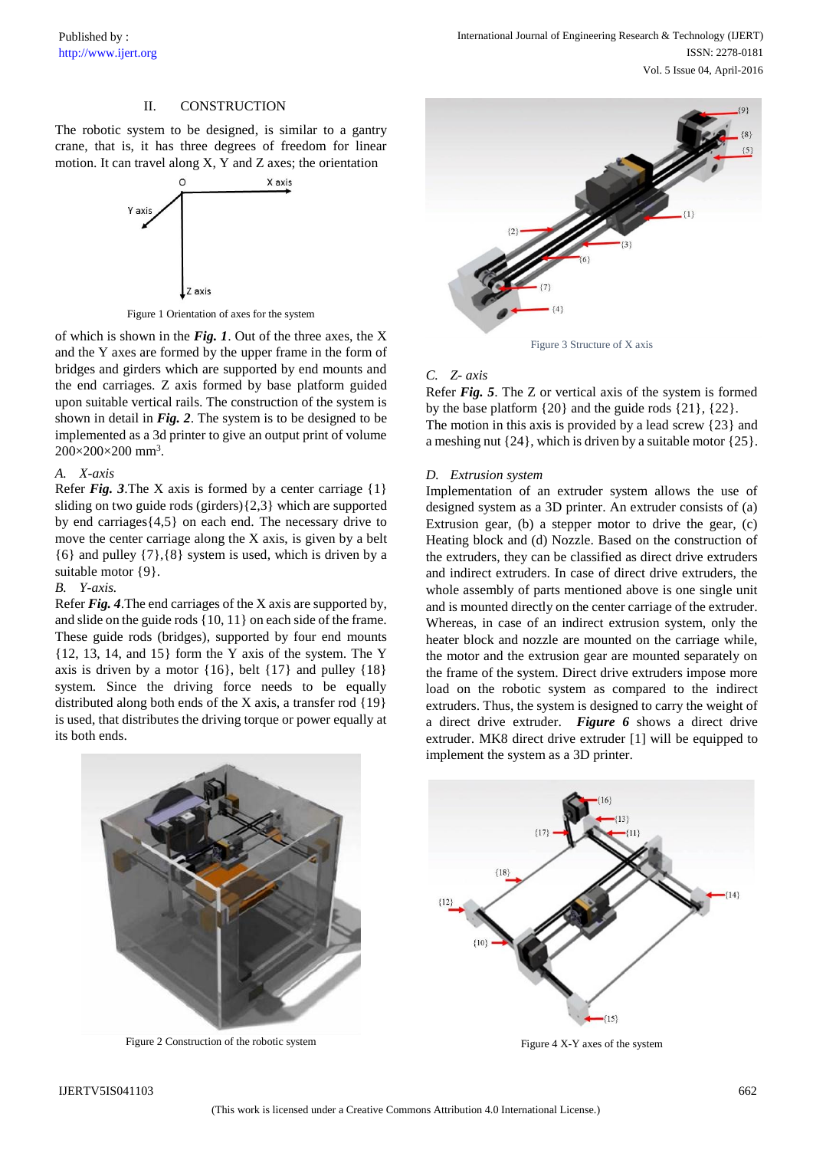# II. CONSTRUCTION

The robotic system to be designed, is similar to a gantry crane, that is, it has three degrees of freedom for linear motion. It can travel along X, Y and Z axes; the orientation



Figure 1 Orientation of axes for the system

of which is shown in the *Fig. 1*. Out of the three axes, the X and the Y axes are formed by the upper frame in the form of bridges and girders which are supported by end mounts and the end carriages. Z axis formed by base platform guided upon suitable vertical rails. The construction of the system is shown in detail in *Fig. 2*. The system is to be designed to be implemented as a 3d printer to give an output print of volume 200×200×200 mm<sup>3</sup> .

# *A. X-axis*

Refer *Fig.* 3. The X axis is formed by a center carriage  $\{1\}$ sliding on two guide rods (girders){2,3} which are supported by end carriages{4,5} on each end. The necessary drive to move the center carriage along the X axis, is given by a belt {6} and pulley {7},{8} system is used, which is driven by a suitable motor  $\{9\}$ .

# *B. Y-axis.*

Refer *Fig. 4*.The end carriages of the X axis are supported by, and slide on the guide rods {10, 11} on each side of the frame. These guide rods (bridges), supported by four end mounts {12, 13, 14, and 15} form the Y axis of the system. The Y axis is driven by a motor  $\{16\}$ , belt  $\{17\}$  and pulley  $\{18\}$ system. Since the driving force needs to be equally distributed along both ends of the X axis, a transfer rod {19} is used, that distributes the driving torque or power equally at its both ends.



Figure 3 Structure of X axis

### *C. Z- axis*

Refer *Fig. 5*. The Z or vertical axis of the system is formed by the base platform {20} and the guide rods {21}, {22}. The motion in this axis is provided by a lead screw {23} and a meshing nut {24}, which is driven by a suitable motor {25}.

#### *D. Extrusion system*

Implementation of an extruder system allows the use of designed system as a 3D printer. An extruder consists of (a) Extrusion gear, (b) a stepper motor to drive the gear, (c) Heating block and (d) Nozzle. Based on the construction of the extruders, they can be classified as direct drive extruders and indirect extruders. In case of direct drive extruders, the whole assembly of parts mentioned above is one single unit and is mounted directly on the center carriage of the extruder. Whereas, in case of an indirect extrusion system, only the heater block and nozzle are mounted on the carriage while, the motor and the extrusion gear are mounted separately on the frame of the system. Direct drive extruders impose more load on the robotic system as compared to the indirect extruders. Thus, the system is designed to carry the weight of a direct drive extruder. *Figure 6* shows a direct drive extruder. MK8 direct drive extruder [1] will be equipped to implement the system as a 3D printer.





Figure 4 X-Y axes of the system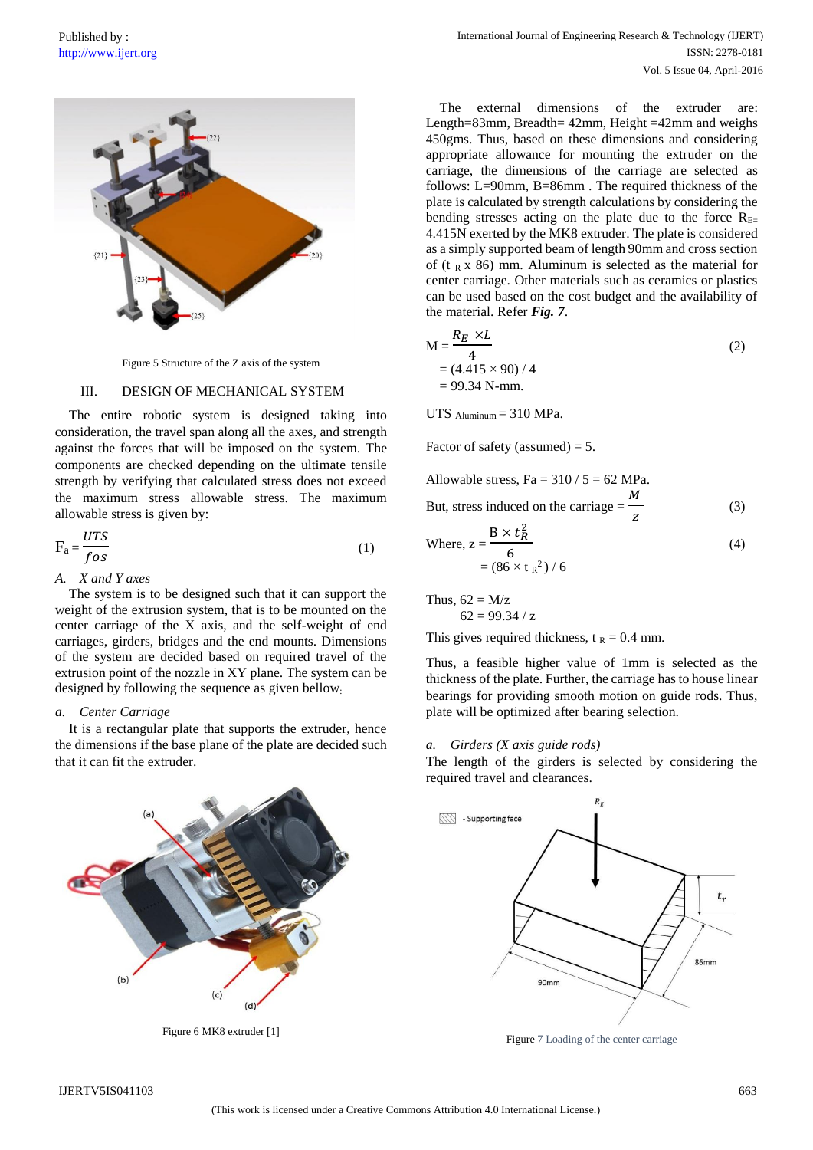

Figure 5 Structure of the Z axis of the system

#### III. DESIGN OF MECHANICAL SYSTEM

The entire robotic system is designed taking into consideration, the travel span along all the axes, and strength against the forces that will be imposed on the system. The components are checked depending on the ultimate tensile strength by verifying that calculated stress does not exceed the maximum stress allowable stress. The maximum allowable stress is given by:

$$
F_a = \frac{UTS}{f \, os} \tag{1}
$$

*A. X and Y axes* 

The system is to be designed such that it can support the weight of the extrusion system, that is to be mounted on the center carriage of the X axis, and the self-weight of end carriages, girders, bridges and the end mounts. Dimensions of the system are decided based on required travel of the extrusion point of the nozzle in XY plane. The system can be designed by following the sequence as given bellow:

#### *a. Center Carriage*

It is a rectangular plate that supports the extruder, hence the dimensions if the base plane of the plate are decided such that it can fit the extruder.



Figure 6 MK8 extruder [1]

The external dimensions of the extruder are: Length=83mm, Breadth= 42mm, Height =42mm and weighs 450gms. Thus, based on these dimensions and considering appropriate allowance for mounting the extruder on the carriage, the dimensions of the carriage are selected as follows: L=90mm, B=86mm . The required thickness of the plate is calculated by strength calculations by considering the bending stresses acting on the plate due to the force  $R_{E=}$ 4.415N exerted by the MK8 extruder. The plate is considered as a simply supported beam of length 90mm and cross section of (t  $_R$  x 86) mm. Aluminum is selected as the material for center carriage. Other materials such as ceramics or plastics can be used based on the cost budget and the availability of the material. Refer *Fig. 7*.

$$
M = \frac{R_E \times L}{4}
$$
  
= (4.415 × 90) / 4  
= 99.34 N-mm. (2)

UTS  $\Delta$ luminum = 310 MPa.

Factor of safety (assumed)  $= 5$ .

Allowable stress, Fa =  $310 / 5 = 62$  MPa. But, stress induced on the carriage = M z (3)

Where, 
$$
z = \frac{B \times t_R^2}{6}
$$
  
=  $(86 \times t_R^2) / 6$  (4)

Thus,  $62 = M/z$  $62 = 99.34 / z$ 

This gives required thickness,  $t_R = 0.4$  mm.

Thus, a feasible higher value of 1mm is selected as the thickness of the plate. Further, the carriage has to house linear bearings for providing smooth motion on guide rods. Thus, plate will be optimized after bearing selection.

#### *a. Girders (X axis guide rods)*

The length of the girders is selected by considering the required travel and clearances.



Figure 7 Loading of the center carriage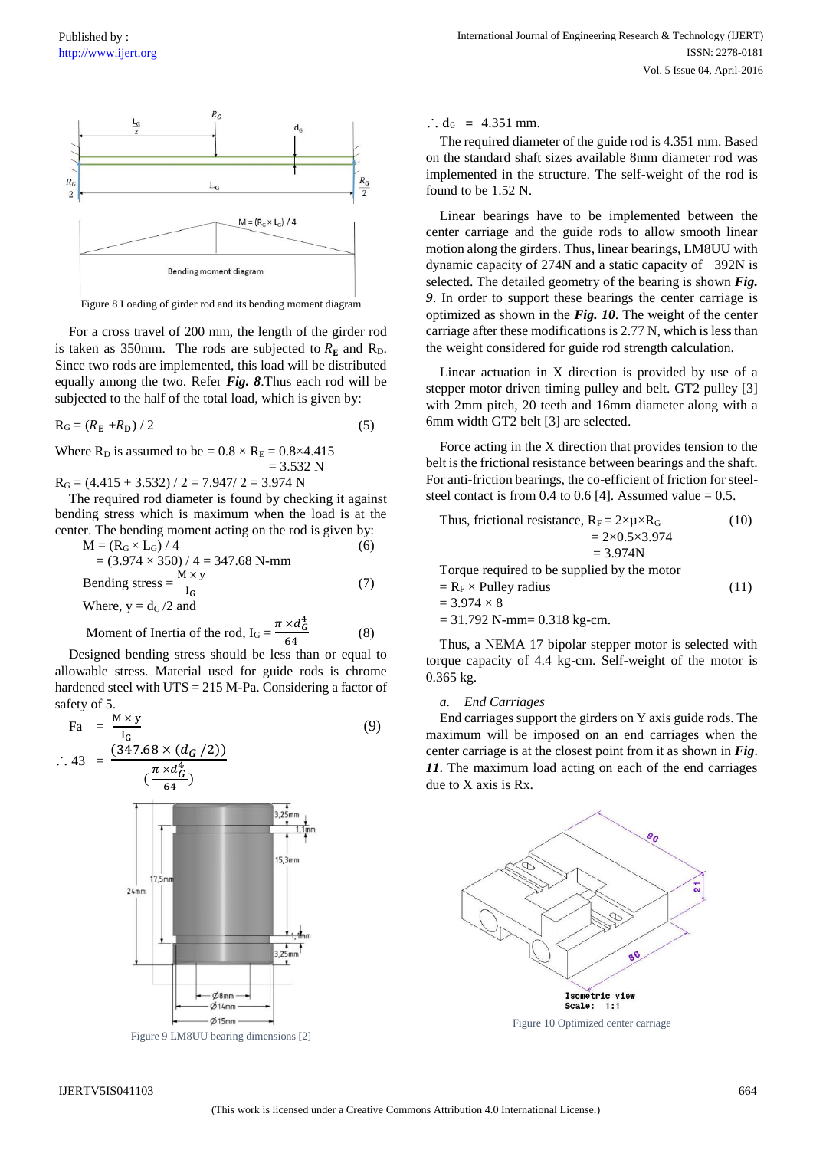

Figure 8 Loading of girder rod and its bending moment diagram

For a cross travel of 200 mm, the length of the girder rod is taken as 350mm. The rods are subjected to  $R_E$  and  $R_D$ . Since two rods are implemented, this load will be distributed equally among the two. Refer *Fig. 8*.Thus each rod will be subjected to the half of the total load, which is given by:

$$
R_G = (R_E + R_D) / 2 \tag{5}
$$

Where  $R_D$  is assumed to be =  $0.8 \times R_E = 0.8 \times 4.415$  $= 3.532 N$ 

 $R_G = (4.415 + 3.532) / 2 = 7.947 / 2 = 3.974$  N

The required rod diameter is found by checking it against bending stress which is maximum when the load is at the center. The bending moment acting on the rod is given by:

$$
M = (R_G \times L_G) / 4
$$
  
= (3.974 × 350) / 4 = 347.68 N-mm  
Bending stress =  $\frac{M \times y}{I_G}$  (7)  
Where, y = d<sub>G</sub>/2 and

Moment of Inertia of the rod,  $I_G = \frac{\pi \times d_G^4}{\epsilon}$ 64 (8)

Designed bending stress should be less than or equal to allowable stress. Material used for guide rods is chrome hardened steel with UTS = 215 M-Pa. Considering a factor of safety of 5.

$$
Fa = \frac{M \times y}{I_G}
$$
\n(9)  
\n∴ 43 = 
$$
\frac{(347.68 \times (d_G / 2))}{(\frac{\pi \times d_G^4}{64})}
$$
\n(9)  
\n3.25mm  
\n15.3mm  
\n15.3mm

 $O$ 8mm  $614$ mm  $Ø15mm$ 

Figure 9 LM8UU bearing dimensions [2]

∴ d<sub>G</sub> =  $4.351$  mm.

The required diameter of the guide rod is 4.351 mm. Based on the standard shaft sizes available 8mm diameter rod was implemented in the structure. The self-weight of the rod is found to be 1.52 N.

Linear bearings have to be implemented between the center carriage and the guide rods to allow smooth linear motion along the girders. Thus, linear bearings, LM8UU with dynamic capacity of 274N and a static capacity of 392N is selected. The detailed geometry of the bearing is shown *Fig. 9*. In order to support these bearings the center carriage is optimized as shown in the *Fig. 10*. The weight of the center carriage after these modifications is 2.77 N, which is less than the weight considered for guide rod strength calculation.

Linear actuation in X direction is provided by use of a stepper motor driven timing pulley and belt. GT2 pulley [3] with 2mm pitch, 20 teeth and 16mm diameter along with a 6mm width GT2 belt [3] are selected.

Force acting in the X direction that provides tension to the belt is the frictional resistance between bearings and the shaft. For anti-friction bearings, the co-efficient of friction for steelsteel contact is from 0.4 to 0.6 [4]. Assumed value  $= 0.5$ .

Thus, frictional resistance, RF = 2×µ×R<sup>G</sup> (10) = 2×0.5×3.974 = 3.974N Torque required to be supplied by the motor = R<sup>F</sup> × Pulley radius (11) = 3.974 × 8 = 31.792 N-mm= 0.318 kg-cm.

Thus, a NEMA 17 bipolar stepper motor is selected with torque capacity of 4.4 kg-cm. Self-weight of the motor is 0.365 kg.

#### *a. End Carriages*

End carriages support the girders on Y axis guide rods. The maximum will be imposed on an end carriages when the center carriage is at the closest point from it as shown in *Fig*. *11*. The maximum load acting on each of the end carriages due to X axis is Rx.



Figure 10 Optimized center carriage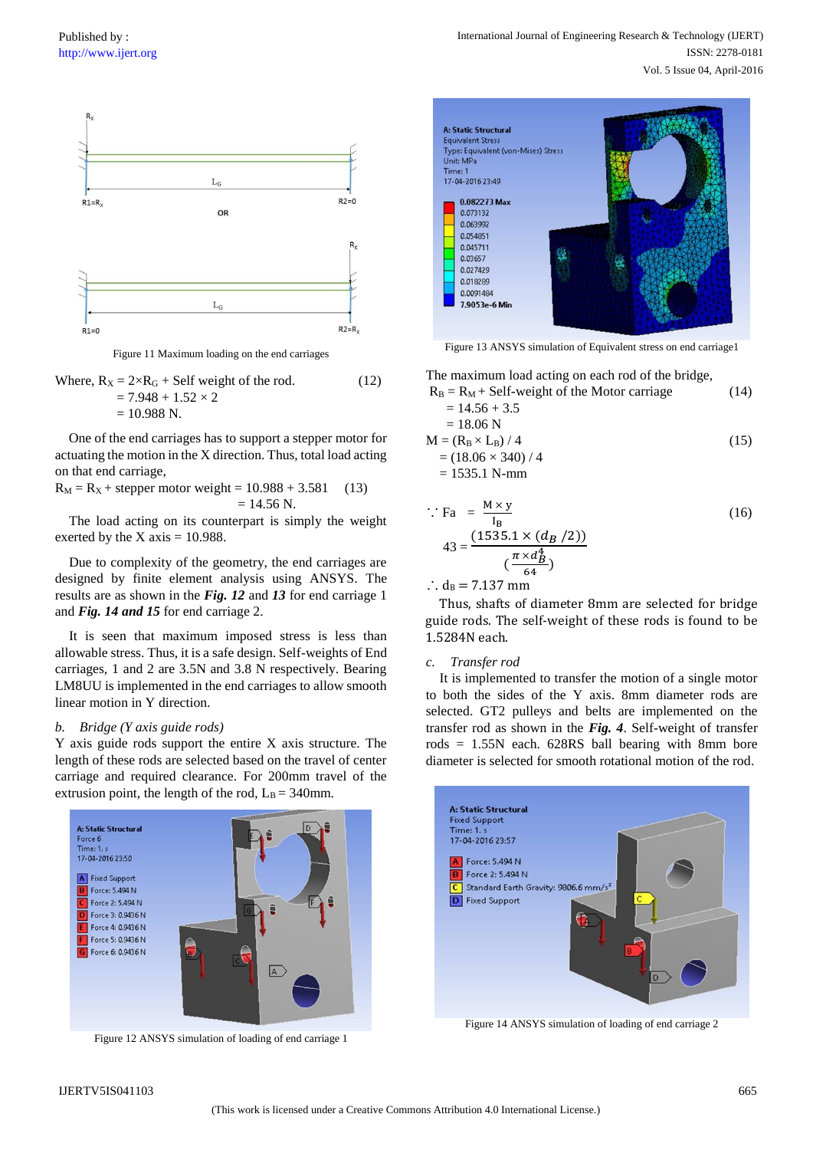

Figure 11 Maximum loading on the end carriages

Where, 
$$
R_X = 2 \times R_G + Self
$$
 weight of the rod.  
= 7.948 + 1.52 × 2  
= 10.988 N. (12)

One of the end carriages has to support a stepper motor for actuating the motion in the X direction. Thus, total load acting on that end carriage,

$$
R_M = R_X + \text{stepper motor weight} = 10.988 + 3.581 \quad (13)
$$

$$
= 14.56 \text{ N}.
$$

The load acting on its counterpart is simply the weight exerted by the  $X \text{ axis} = 10.988$ .

Due to complexity of the geometry, the end carriages are designed by finite element analysis using ANSYS. The results are as shown in the *Fig. 12* and *13* for end carriage 1 and *Fig. 14 and 15* for end carriage 2.

It is seen that maximum imposed stress is less than allowable stress. Thus, it is a safe design. Self-weights of End carriages, 1 and 2 are 3.5N and 3.8 N respectively. Bearing LM8UU is implemented in the end carriages to allow smooth linear motion in Y direction.

#### *b. Bridge (Y axis guide rods)*

Y axis guide rods support the entire X axis structure. The length of these rods are selected based on the travel of center carriage and required clearance. For 200mm travel of the extrusion point, the length of the rod,  $L_B = 340$ mm.



Figure 12 ANSYS simulation of loading of end carriage 1



Figure 13 ANSYS simulation of Equivalent stress on end carriage1

The maximum load acting on each rod of the bridge,

$$
R_B = R_M + Self-weight of the Motor carriage
$$
  
= 14.56 + 3.5  
= 18.06 N

$$
M = (R_B \times L_B) / 4
$$
  
= (18.06 × 340) / 4  
= 1535.1 N-mm (15)

$$
\therefore \text{ Fa} = \frac{M \times y}{I_B}
$$
\n
$$
43 = \frac{(1535.1 \times (d_B / 2))}{(\frac{\pi \times d_B^4}{64})}
$$
\n
$$
\therefore d_B = 7.137 \text{ mm}
$$
\n(16)

Thus, shafts of diameter 8mm are selected for bridge guide rods. The self-weight of these rods is found to be 1.5284N each.

#### *c. Transfer rod*

It is implemented to transfer the motion of a single motor to both the sides of the Y axis. 8mm diameter rods are selected. GT2 pulleys and belts are implemented on the transfer rod as shown in the *Fig. 4*. Self-weight of transfer rods  $= 1.55N$  each. 628RS ball bearing with 8mm bore diameter is selected for smooth rotational motion of the rod.



Figure 14 ANSYS simulation of loading of end carriage 2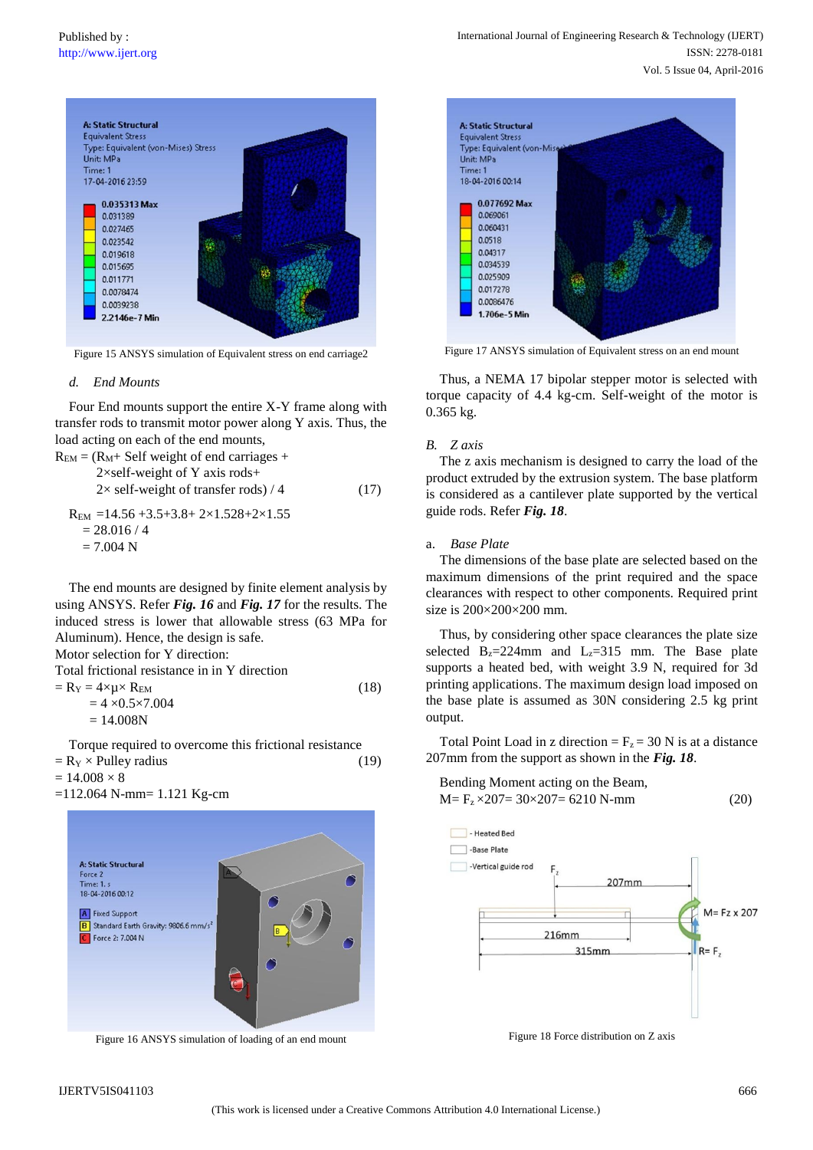

Figure 15 ANSYS simulation of Equivalent stress on end carriage2

#### *d. End Mounts*

Four End mounts support the entire X-Y frame along with transfer rods to transmit motor power along Y axis. Thus, the load acting on each of the end mounts,

$$
R_{EM} = (R_M + Self weight of end carriages + 2 \times self-weight of Y axis rods + 2 \times self-weight of transfer rods) / 4 \t\t (17)
$$
  
\n
$$
R_{EM} = 14.56 + 3.5 + 3.8 + 2 \times 1.528 + 2 \times 1.55
$$
  
\n= 28.016 / 4  
\n= 7.004 N

The end mounts are designed by finite element analysis by using ANSYS. Refer *Fig. 16* and *Fig. 17* for the results. The induced stress is lower that allowable stress (63 MPa for Aluminum). Hence, the design is safe.

Motor selection for Y direction:

Total frictional resistance in in Y direction

$$
= R_Y = 4 \times \mu \times R_{EM}
$$
 (18)

$$
= 4 \times 0.5 \times 7.004
$$
  
= 14.008N

Torque required to overcome this frictional resistance  $=$  R<sub>Y</sub>  $\times$  Pulley radius (19)

 $= 14.008 \times 8$ 

=112.064 N-mm= 1.121 Kg-cm



Figure 16 ANSYS simulation of loading of an end mount



Figure 17 ANSYS simulation of Equivalent stress on an end mount

Thus, a NEMA 17 bipolar stepper motor is selected with torque capacity of 4.4 kg-cm. Self-weight of the motor is 0.365 kg.

### *B. Z axis*

The z axis mechanism is designed to carry the load of the product extruded by the extrusion system. The base platform is considered as a cantilever plate supported by the vertical guide rods. Refer *Fig. 18*.

#### a. *Base Plate*

The dimensions of the base plate are selected based on the maximum dimensions of the print required and the space clearances with respect to other components. Required print size is 200×200×200 mm.

Thus, by considering other space clearances the plate size selected  $B_z = 224$ mm and  $L_z = 315$  mm. The Base plate supports a heated bed, with weight 3.9 N, required for 3d printing applications. The maximum design load imposed on the base plate is assumed as 30N considering 2.5 kg print output.

Total Point Load in z direction =  $F_z$  = 30 N is at a distance 207mm from the support as shown in the *Fig. 18*.





Figure 18 Force distribution on Z axis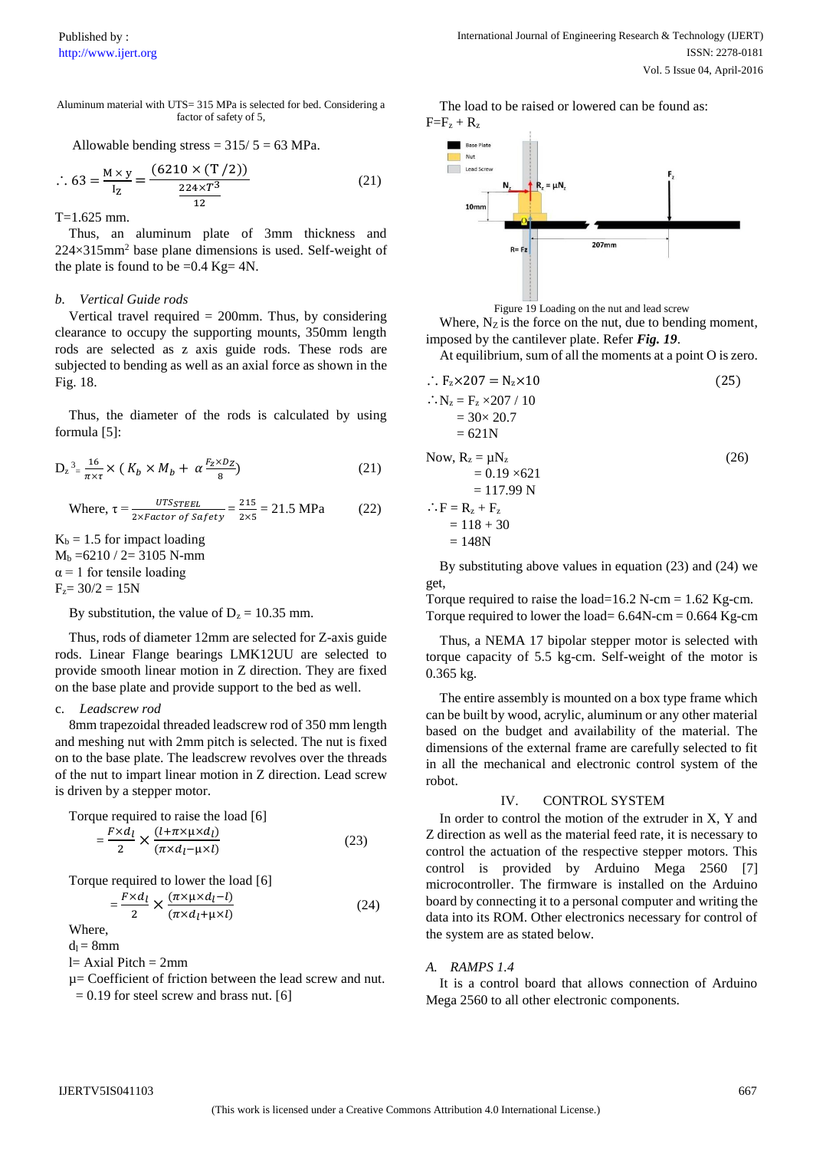Aluminum material with UTS= 315 MPa is selected for bed. Considering a factor of safety of 5,

Allowable bending stress = 
$$
315/5 = 63
$$
 MPa.

$$
\therefore 63 = \frac{M \times y}{I_Z} = \frac{(6210 \times (T/2))}{\frac{224 \times T^3}{12}}
$$
 (21)

T=1.625 mm.

Thus, an aluminum plate of 3mm thickness and  $224\times315$ mm<sup>2</sup> base plane dimensions is used. Self-weight of the plate is found to be  $=0.4$  Kg $= 4N$ .

## *b. Vertical Guide rods*

Vertical travel required  $= 200$ mm. Thus, by considering clearance to occupy the supporting mounts, 350mm length rods are selected as z axis guide rods. These rods are subjected to bending as well as an axial force as shown in the Fig. 18.

Thus, the diameter of the rods is calculated by using formula [5]:

$$
D_z^3 = \frac{16}{\pi \times \tau} \times (K_b \times M_b + \alpha \frac{F_z \times D_Z}{8})
$$
 (21)

Where, 
$$
\tau = \frac{UTSSTEEL}{2 \times Factor \ of \ Safety} = \frac{215}{2 \times 5} = 21.5 \text{ MPa}
$$
 (22)

 $K_b = 1.5$  for impact loading  $M_b = 6210 / 2 = 3105$  N-mm  $\alpha$  = 1 for tensile loading  $F_z = 30/2 = 15N$ 

By substitution, the value of  $D_z = 10.35$  mm.

Thus, rods of diameter 12mm are selected for Z-axis guide rods. Linear Flange bearings LMK12UU are selected to provide smooth linear motion in Z direction. They are fixed on the base plate and provide support to the bed as well.

# c. *Leadscrew rod*

8mm trapezoidal threaded leadscrew rod of 350 mm length and meshing nut with 2mm pitch is selected. The nut is fixed on to the base plate. The leadscrew revolves over the threads of the nut to impart linear motion in Z direction. Lead screw is driven by a stepper motor.

Torque required to raise the load [6]  
= 
$$
\frac{F \times d_l}{2} \times \frac{(l + \pi \times \mu \times d_l)}{(\pi \times d_l - \mu \times l)}
$$
(23)

Torque required to lower the load [6]  $=\frac{F\times d_l}{2}$  $\frac{d}{2} \times \frac{(\pi \times \mu \times d_l - l)}{(\pi \times d_l + \mu \times l)}$  $(\pi \times d_l + \mu \times l)$ (24)

Where,

 $d_1 = 8$ mm

 $l= Axial Pitch = 2mm$ 

µ= Coefficient of friction between the lead screw and nut.  $= 0.19$  for steel screw and brass nut. [6]

The load to be raised or lowered can be found as:  $F=F_z+R_z$ 



Figure 19 Loading on the nut and lead screw

Where,  $N_Z$  is the force on the nut, due to bending moment, imposed by the cantilever plate. Refer *Fig. 19*.

At equilibrium, sum of all the moments at a point O is zero.

$$
F_z \times 207 = N_z \times 10
$$
\n
$$
N_z = F_z \times 207 / 10
$$
\n
$$
= 30 \times 20.7
$$
\n
$$
= 621 N
$$
\nNow, R<sub>z</sub> =  $\mu$ N<sub>z</sub>  
\n
$$
= 0.19 \times 621
$$
\n
$$
= 117.99 N
$$
\n
$$
∴ F = Rz + Fz
$$
\n
$$
= 118 + 30
$$
\n
$$
= 148 N
$$
\n(26)

By substituting above values in equation (23) and (24) we get,

Torque required to raise the load=16.2 N-cm =  $1.62$  Kg-cm. Torque required to lower the load=  $6.64N$ -cm =  $0.664$  Kg-cm

Thus, a NEMA 17 bipolar stepper motor is selected with torque capacity of 5.5 kg-cm. Self-weight of the motor is 0.365 kg.

The entire assembly is mounted on a box type frame which can be built by wood, acrylic, aluminum or any other material based on the budget and availability of the material. The dimensions of the external frame are carefully selected to fit in all the mechanical and electronic control system of the robot.

# IV. CONTROL SYSTEM

In order to control the motion of the extruder in X, Y and Z direction as well as the material feed rate, it is necessary to control the actuation of the respective stepper motors. This control is provided by Arduino Mega 2560 [7] microcontroller. The firmware is installed on the Arduino board by connecting it to a personal computer and writing the data into its ROM. Other electronics necessary for control of the system are as stated below.

# *A. RAMPS 1.4*

It is a control board that allows connection of Arduino Mega 2560 to all other electronic components.